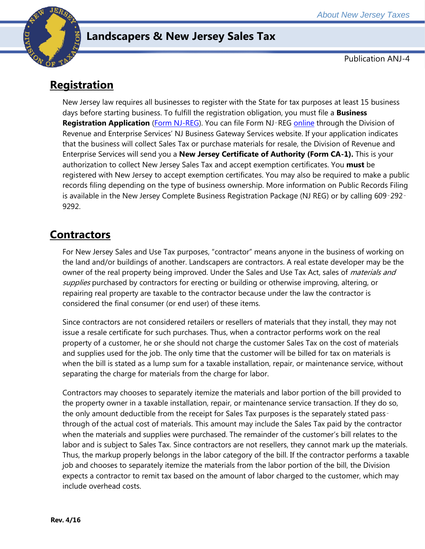

## **Landscapers & New Jersey Sales Tax**

Publication ANJ-4

# **Registration**

New Jersey law requires all businesses to register with the State for tax purposes at least 15 business days before starting business. To fulfill the registration obligation, you must file a **Business Registration Application** [\(Form NJ-REG\)](http://www.state.nj.us/treasury/revenue/revprnt.shtml). You can file Form NJ‑REG [online](http://www.state.nj.us/treasury/revenue/gettingregistered.shtml) through the Division of Revenue and Enterprise Services' NJ Business Gateway Services website. If your application indicates that the business will collect Sales Tax or purchase materials for resale, the Division of Revenue and Enterprise Services will send you a **New Jersey Certificate of Authority (Form CA-1).** This is your authorization to collect New Jersey Sales Tax and accept exemption certificates. You **must** be registered with New Jersey to accept exemption certificates. You may also be required to make a public records filing depending on the type of business ownership. More information on Public Records Filing is available in the New Jersey Complete Business Registration Package (NJ REG) or by calling 609-292-9292.

## **Contractors**

For New Jersey Sales and Use Tax purposes, "contractor" means anyone in the business of working on the land and/or buildings of another. Landscapers are contractors. A real estate developer may be the owner of the real property being improved. Under the Sales and Use Tax Act, sales of *materials and* supplies purchased by contractors for erecting or building or otherwise improving, altering, or repairing real property are taxable to the contractor because under the law the contractor is considered the final consumer (or end user) of these items.

Since contractors are not considered retailers or resellers of materials that they install, they may not issue a resale certificate for such purchases. Thus, when a contractor performs work on the real property of a customer, he or she should not charge the customer Sales Tax on the cost of materials and supplies used for the job. The only time that the customer will be billed for tax on materials is when the bill is stated as a lump sum for a taxable installation, repair, or maintenance service, without separating the charge for materials from the charge for labor.

Contractors may chooses to separately itemize the materials and labor portion of the bill provided to the property owner in a taxable installation, repair, or maintenance service transaction. If they do so, the only amount deductible from the receipt for Sales Tax purposes is the separately stated pass‑ through of the actual cost of materials. This amount may include the Sales Tax paid by the contractor when the materials and supplies were purchased. The remainder of the customer's bill relates to the labor and is subject to Sales Tax. Since contractors are not resellers, they cannot mark up the materials. Thus, the markup properly belongs in the labor category of the bill. If the contractor performs a taxable job and chooses to separately itemize the materials from the labor portion of the bill, the Division expects a contractor to remit tax based on the amount of labor charged to the customer, which may include overhead costs.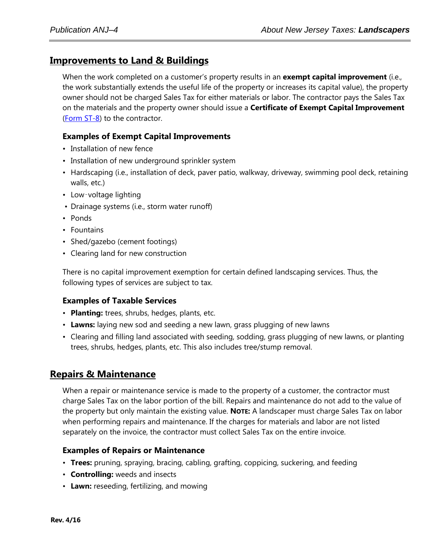## **Improvements to Land & Buildings**

When the work completed on a customer's property results in an **exempt capital improvement** (i.e., the work substantially extends the useful life of the property or increases its capital value), the property owner should not be charged Sales Tax for either materials or labor. The contractor pays the Sales Tax on the materials and the property owner should issue a **Certificate of Exempt Capital Improvement** [\(Form ST-8\)](http://www.state.nj.us/treasury/taxation/pdf/other_forms/sales/st8.pdf) to the contractor.

#### **Examples of Exempt Capital Improvements**

- Installation of new fence
- Installation of new underground sprinkler system
- Hardscaping (i.e., installation of deck, paver patio, walkway, driveway, swimming pool deck, retaining walls, etc.)
- Low-voltage lighting
- Drainage systems (i.e., storm water runoff)
- Ponds
- Fountains
- Shed/gazebo (cement footings)
- Clearing land for new construction

There is no capital improvement exemption for certain defined landscaping services. Thus, the following types of services are subject to tax.

#### **Examples of Taxable Services**

- **Planting:** trees, shrubs, hedges, plants, etc.
- **Lawns:** laying new sod and seeding a new lawn, grass plugging of new lawns
- Clearing and filling land associated with seeding, sodding, grass plugging of new lawns, or planting trees, shrubs, hedges, plants, etc. This also includes tree/stump removal.

#### **Repairs & Maintenance**

When a repair or maintenance service is made to the property of a customer, the contractor must charge Sales Tax on the labor portion of the bill. Repairs and maintenance do not add to the value of the property but only maintain the existing value. **NOTE:** A landscaper must charge Sales Tax on labor when performing repairs and maintenance. If the charges for materials and labor are not listed separately on the invoice, the contractor must collect Sales Tax on the entire invoice.

#### **Examples of Repairs or Maintenance**

- **Trees:** pruning, spraying, bracing, cabling, grafting, coppicing, suckering, and feeding
- **Controlling:** weeds and insects
- **Lawn:** reseeding, fertilizing, and mowing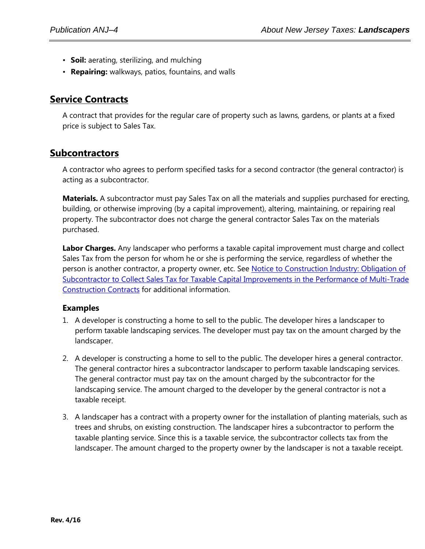- **Soil:** aerating, sterilizing, and mulching
- **Repairing:** walkways, patios, fountains, and walls

## **Service Contracts**

A contract that provides for the regular care of property such as lawns, gardens, or plants at a fixed price is subject to Sales Tax.

### **Subcontractors**

A contractor who agrees to perform specified tasks for a second contractor (the general contractor) is acting as a subcontractor.

**Materials.** A subcontractor must pay Sales Tax on all the materials and supplies purchased for erecting, building, or otherwise improving (by a capital improvement), altering, maintaining, or repairing real property. The subcontractor does not charge the general contractor Sales Tax on the materials purchased.

**Labor Charges.** Any landscaper who performs a taxable capital improvement must charge and collect Sales Tax from the person for whom he or she is performing the service, regardless of whether the person is another contractor, a property owner, etc. See [Notice to Construction Industry: Obligation of](http://www.state.nj.us/treasury/taxation/pdf/constructionnotice.pdf)  [Subcontractor to Collect Sales Tax for Taxable Capital Improvements](http://www.state.nj.us/treasury/taxation/pdf/constructionnotice.pdf) [in the Performance of Multi-Trade](http://www.state.nj.us/treasury/taxation/pdf/constructionnotice.pdf)  [Construction Contracts](http://www.state.nj.us/treasury/taxation/pdf/constructionnotice.pdf) for additional information.

#### **Examples**

- 1. A developer is constructing a home to sell to the public. The developer hires a landscaper to perform taxable landscaping services. The developer must pay tax on the amount charged by the landscaper.
- 2. A developer is constructing a home to sell to the public. The developer hires a general contractor. The general contractor hires a subcontractor landscaper to perform taxable landscaping services. The general contractor must pay tax on the amount charged by the subcontractor for the landscaping service. The amount charged to the developer by the general contractor is not a taxable receipt.
- 3. A landscaper has a contract with a property owner for the installation of planting materials, such as trees and shrubs, on existing construction. The landscaper hires a subcontractor to perform the taxable planting service. Since this is a taxable service, the subcontractor collects tax from the landscaper. The amount charged to the property owner by the landscaper is not a taxable receipt.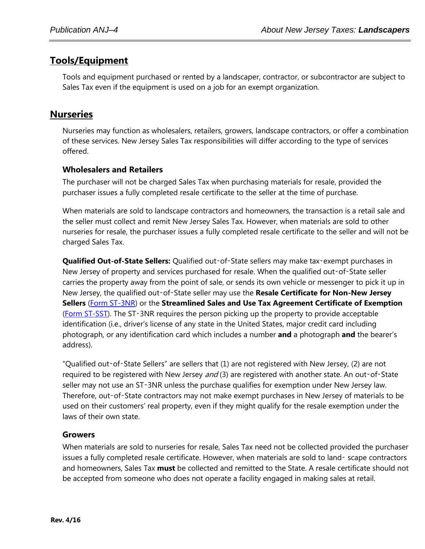## **Tools/Equipment**

Tools and equipment purchased or rented by a landscaper, contractor, or subcontractor are subject to Sales Tax even if the equipment is used on a job for an exempt organization.

## **Nurseries**

Nurseries may function as wholesalers, retailers, growers, landscape contractors, or offer a combination of these services. New Jersey Sales Tax responsibilities will differ according to the type of services offered.

#### **Wholesalers and Retailers**

The purchaser will not be charged Sales Tax when purchasing materials for resale, provided the purchaser issues a fully completed resale certificate to the seller at the time of purchase.

When materials are sold to landscape contractors and homeowners, the transaction is a retail sale and the seller must collect and remit New Jersey Sales Tax. However, when materials are sold to other nurseries for resale, the purchaser issues a fully completed resale certificate to the seller and will not be charged Sales Tax.

**Qualified Out-of-State Sellers:** Qualified out‑of‑State sellers may make tax‑exempt purchases in New Jersey of property and services purchased for resale. When the qualified out-of-State seller carries the property away from the point of sale, or sends its own vehicle or messenger to pick it up in New Jersey, the qualified out‑of‑State seller may use the **Resale Certificate for Non-New Jersey Sellers** [\(Form ST-3NR\)](http://www.state.nj.us/treasury/taxation/pdf/other_forms/sales/st3nr.pdf) or the **Streamlined Sales and Use Tax Agreement Certificate of Exemption** [\(Form ST-SST\)](http://www.state.nj.us/treasury/taxation/pdf/other_forms/sales/st_sst.pdf). The ST‑3NR requires the person picking up the property to provide acceptable identification (i.e., driver's license of any state in the United States, major credit card including photograph, or any identification card which includes a number **and** a photograph **and** the bearer's address).

"Qualified out-of-State Sellers" are sellers that (1) are not registered with New Jersey, (2) are not required to be registered with New Jersey and (3) are registered with another state. An out-of-State seller may not use an ST-3NR unless the purchase qualifies for exemption under New Jersey law. Therefore, out‑of‑State contractors may not make exempt purchases in New Jersey of materials to be used on their customers' real property, even if they might qualify for the resale exemption under the laws of their own state.

#### **Growers**

When materials are sold to nurseries for resale, Sales Tax need not be collected provided the purchaser issues a fully completed resale certificate. However, when materials are sold to land- scape contractors and homeowners, Sales Tax **must** be collected and remitted to the State. A resale certificate should not be accepted from someone who does not operate a facility engaged in making sales at retail.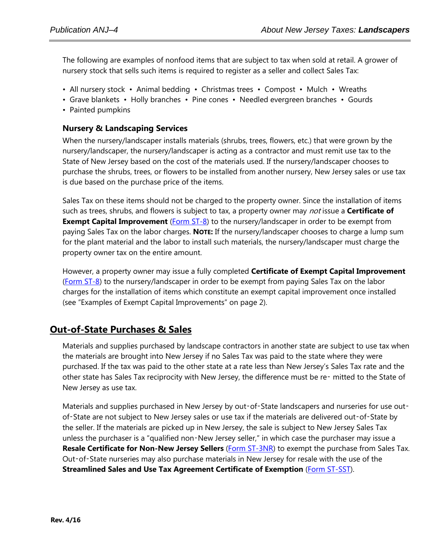The following are examples of nonfood items that are subject to tax when sold at retail. A grower of nursery stock that sells such items is required to register as a seller and collect Sales Tax:

- All nursery stock Animal bedding Christmas trees Compost Mulch Wreaths
- Grave blankets Holly branches Pine cones Needled evergreen branches Gourds
- Painted pumpkins

#### **Nursery & Landscaping Services**

When the nursery/landscaper installs materials (shrubs, trees, flowers, etc.) that were grown by the nursery/landscaper, the nursery/landscaper is acting as a contractor and must remit use tax to the State of New Jersey based on the cost of the materials used. If the nursery/landscaper chooses to purchase the shrubs, trees, or flowers to be installed from another nursery, New Jersey sales or use tax is due based on the purchase price of the items.

Sales Tax on these items should not be charged to the property owner. Since the installation of items such as trees, shrubs, and flowers is subject to tax, a property owner may not issue a **Certificate of Exempt Capital Improvement** [\(Form ST-8\)](http://www.state.nj.us/treasury/taxation/pdf/other_forms/sales/st8.pdf) to the nursery/landscaper in order to be exempt from paying Sales Tax on the labor charges. **NOTE:** If the nursery/landscaper chooses to charge a lump sum for the plant material and the labor to install such materials, the nursery/landscaper must charge the property owner tax on the entire amount.

However, a property owner may issue a fully completed **Certificate of Exempt Capital Improvement** [\(Form ST-8\)](http://www.state.nj.us/treasury/taxation/pdf/other_forms/sales/st8.pdf) to the nursery/landscaper in order to be exempt from paying Sales Tax on the labor charges for the installation of items which constitute an exempt capital improvement once installed (see "Examples of Exempt Capital Improvements" on page 2).

## **Out-of-State Purchases & Sales**

Materials and supplies purchased by landscape contractors in another state are subject to use tax when the materials are brought into New Jersey if no Sales Tax was paid to the state where they were purchased. If the tax was paid to the other state at a rate less than New Jersey's Sales Tax rate and the other state has Sales Tax reciprocity with New Jersey, the difference must be re- mitted to the State of New Jersey as use tax.

Materials and supplies purchased in New Jersey by out-of-State landscapers and nurseries for use outof-State are not subject to New Jersey sales or use tax if the materials are delivered out-of-State by the seller. If the materials are picked up in New Jersey, the sale is subject to New Jersey Sales Tax unless the purchaser is a "qualified non-New Jersey seller," in which case the purchaser may issue a **Resale Certificate for Non-New Jersey Sellers** [\(Form ST-3NR\)](http://www.state.nj.us/treasury/taxation/pdf/other_forms/sales/st3nr.pdf) to exempt the purchase from Sales Tax. Out‑of‑State nurseries may also purchase materials in New Jersey for resale with the use of the **Streamlined Sales and Use Tax Agreement Certificate of Exemption** [\(Form ST-SST\)](http://www.state.nj.us/treasury/taxation/pdf/other_forms/sales/st_sst.pdf).